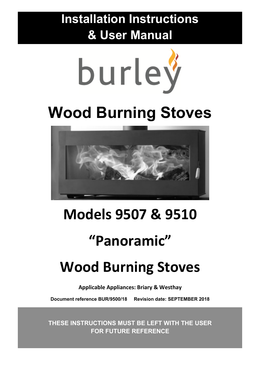**Installation Instructions & User Manual**



# **Wood Burning Stoves**



## **Models 9507 & 9510**

## **"Panoramic"**

## **Wood Burning Stoves**

**Applicable Appliances: Briary & Westhay** 

**Document reference BUR/9500/18 Revision date: SEPTEMBER 2018** 

**THESE INSTRUCTIONS MUST BE LEFT WITH THE USER FOR FUTURE REFERENCE**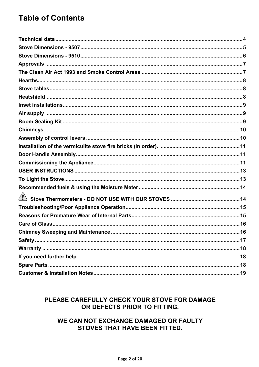### **Table of Contents**

#### PLEASE CAREFULLY CHECK YOUR STOVE FOR DAMAGE OR DEFECTS PRIOR TO FITTING.

#### WE CAN NOT EXCHANGE DAMAGED OR FAULTY **STOVES THAT HAVE BEEN FITTED.**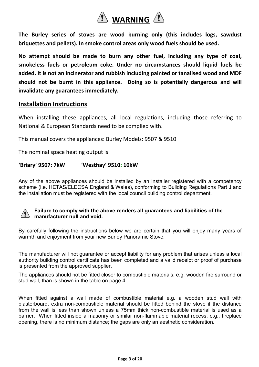

**The Burley series of stoves are wood burning only (this includes logs, sawdust briquettes and pellets). In smoke control areas only wood fuels should be used.** 

**No attempt should be made to burn any other fuel, including any type of coal, smokeless fuels or petroleum coke. Under no circumstances should liquid fuels be added. It is not an incinerator and rubbish including painted or tanalised wood and MDF should not be burnt in this appliance. Doing so is potentially dangerous and will invalidate any guarantees immediately.** 

#### **Installation Instructions**

When installing these appliances, all local regulations, including those referring to National & European Standards need to be complied with.

This manual covers the appliances: Burley Models: 9507 & 9510

The nominal space heating output is:

#### **'Briary' 9507: 7kW 'Westhay' 9510: 10kW**

Any of the above appliances should be installed by an installer registered with a competency scheme (i.e. HETAS/ELECSA England & Wales), conforming to Building Regulations Part J and the installation must be registered with the local council building control department.

#### **Failure to comply with the above renders all guarantees and liabilities of the 1** manufacturer null and void.

By carefully following the instructions below we are certain that you will enjoy many years of warmth and enjoyment from your new Burley Panoramic Stove.

The manufacturer will not guarantee or accept liability for any problem that arises unless a local authority building control certificate has been completed and a valid receipt or proof of purchase is presented from the approved supplier.

The appliances should not be fitted closer to combustible materials, e.g. wooden fire surround or stud wall, than is shown in the table on page 4.

When fitted against a wall made of combustible material e.g. a wooden stud wall with plasterboard, extra non-combustible material should be fitted behind the stove if the distance from the wall is less than shown unless a 75mm thick non-combustible material is used as a barrier. When fitted inside a masonry or similar non-flammable material recess, e.g., fireplace opening, there is no minimum distance; the gaps are only an aesthetic consideration.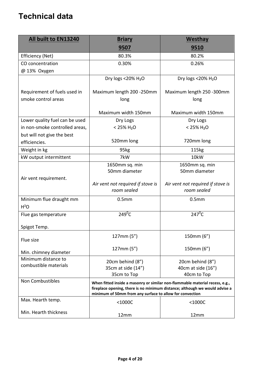### **Technical data**

| All built to EN13240           | <b>Briary</b>                                                                                                                                                                                                           | <b>Westhay</b>                                   |  |
|--------------------------------|-------------------------------------------------------------------------------------------------------------------------------------------------------------------------------------------------------------------------|--------------------------------------------------|--|
|                                | 9507                                                                                                                                                                                                                    | <u>9510</u>                                      |  |
| Efficiency (Net)               | 80.3%                                                                                                                                                                                                                   | 80.2%                                            |  |
| CO concentration               | 0.30%                                                                                                                                                                                                                   | 0.26%                                            |  |
| @ 13% Oxygen                   |                                                                                                                                                                                                                         |                                                  |  |
|                                | Dry logs <20% H <sub>2</sub> O                                                                                                                                                                                          | Dry logs <20% H <sub>2</sub> O                   |  |
| Requirement of fuels used in   | Maximum length 200 -250mm                                                                                                                                                                                               | Maximum length 250 -300mm                        |  |
| smoke control areas            | long                                                                                                                                                                                                                    | long                                             |  |
|                                | Maximum width 150mm                                                                                                                                                                                                     | Maximum width 150mm                              |  |
| Lower quality fuel can be used | Dry Logs                                                                                                                                                                                                                | Dry Logs                                         |  |
| in non-smoke controlled areas, | $< 25\%$ H <sub>2</sub> O                                                                                                                                                                                               | $< 25\% H_2O$                                    |  |
| but will not give the best     |                                                                                                                                                                                                                         |                                                  |  |
| efficiencies.                  | 520mm long                                                                                                                                                                                                              | 720mm long                                       |  |
| Weight in kg                   | 95kg                                                                                                                                                                                                                    | 115kg                                            |  |
| kW output intermittent         | 7kW                                                                                                                                                                                                                     | 10kW                                             |  |
|                                | 1650mm sq. min<br>50mm diameter                                                                                                                                                                                         | 1650mm sq. min<br>50mm diameter                  |  |
| Air vent requirement.          | Air vent not required if stove is<br>room sealed                                                                                                                                                                        | Air vent not required if stove is<br>room sealed |  |
| Minimum flue draught mm        | 0.5 <sub>mm</sub>                                                                                                                                                                                                       | 0.5 <sub>mm</sub>                                |  |
| H <sup>2</sup> O               |                                                                                                                                                                                                                         |                                                  |  |
| Flue gas temperature           | $249^0C$                                                                                                                                                                                                                | $247^{\overline{0}}\overline{C}$                 |  |
| Spigot Temp.                   |                                                                                                                                                                                                                         |                                                  |  |
| Flue size                      | 127mm (5")                                                                                                                                                                                                              | 150mm (6")                                       |  |
| Min. chimney diameter          | 127mm(5")                                                                                                                                                                                                               | 150mm (6")                                       |  |
| Minimum distance to            | 20cm behind (8")                                                                                                                                                                                                        | 20cm behind (8")                                 |  |
| combustible materials          | 35cm at side (14")                                                                                                                                                                                                      | 40cm at side (16")                               |  |
|                                | 35cm to Top                                                                                                                                                                                                             | 40cm to Top                                      |  |
| Non Combustibles               | When fitted inside a masonry or similar non-flammable material recess, e.g.,<br>fireplace opening, there is no minimum distance; although we would advise a<br>minimum of 50mm from any surface to allow for convection |                                                  |  |
| Max. Hearth temp.              | $<$ 1000C                                                                                                                                                                                                               | $<$ 1000C                                        |  |
| Min. Hearth thickness          | 12mm                                                                                                                                                                                                                    | 12mm                                             |  |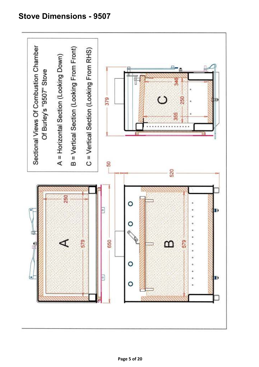### **Stove Dimensions - 9507**

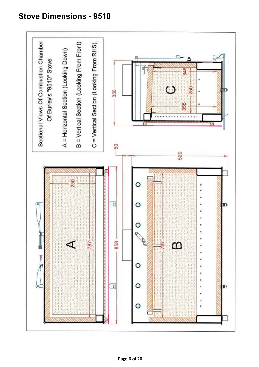### **Stove Dimensions - 9510**

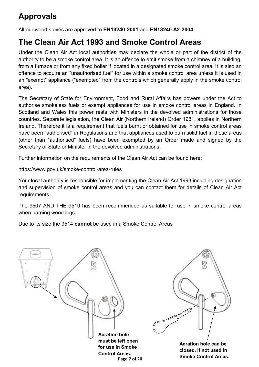### **Approvals**

All our wood stoves are approved to **EN13240:2001** and **EN13240 A2:2004**.

### **The Clean Air Act 1993 and Smoke Control Areas**

Under the Clean Air Act local authorities may declare the whole or part of the district of the authority to be a smoke control area. It is an offence to emit smoke from a chimney of a building, from a furnace or from any fixed boiler if located in a designated smoke control area. It is also an offence to acquire an "unauthorised fuel" for use within a smoke control area unless it is used in an "exempt" appliance ("exempted" from the controls which generally apply in the smoke control area).

The Secretary of State for Environment, Food and Rural Affairs has powers under the Act to authorise smokeless fuels or exempt appliances for use in smoke control areas in England. In Scotland and Wales this power rests with Ministers in the devolved administrations for those countries. Separate legislation, the Clean Air (Northern Ireland) Order 1981, applies in Northern Ireland. Therefore it is a requirement that fuels burnt or obtained for use in smoke control areas have been "authorised" in Regulations and that appliances used to burn solid fuel in those areas (other than "authorised" fuels) have been exempted by an Order made and signed by the Secretary of State or Minister in the devolved administrations.

Further information on the requirements of the Clean Air Act can be found here:

https://www.gov.uk/smoke-control-area-rules

Your local authority is responsible for implementing the Clean Air Act 1993 including designation and supervision of smoke control areas and you can contact them for details of Clean Air Act requirements

The 9507 AND THE 9510 has been recommended as suitable for use in smoke control areas when burning wood logs.

Due to its size the 9514 **cannot** be used in a Smoke Control Areas

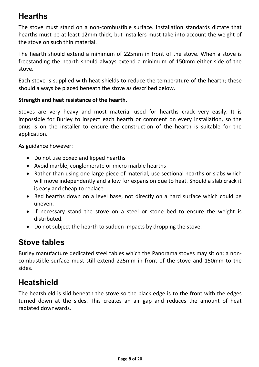### **Hearths**

The stove must stand on a non-combustible surface. Installation standards dictate that hearths must be at least 12mm thick, but installers must take into account the weight of the stove on such thin material.

The hearth should extend a minimum of 225mm in front of the stove. When a stove is freestanding the hearth should always extend a minimum of 150mm either side of the stove.

Each stove is supplied with heat shields to reduce the temperature of the hearth; these should always be placed beneath the stove as described below.

#### **Strength and heat resistance of the hearth.**

Stoves are very heavy and most material used for hearths crack very easily. It is impossible for Burley to inspect each hearth or comment on every installation, so the onus is on the installer to ensure the construction of the hearth is suitable for the application.

As guidance however:

- Do not use boxed and lipped hearths
- Avoid marble, conglomerate or micro marble hearths
- Rather than using one large piece of material, use sectional hearths or slabs which will move independently and allow for expansion due to heat. Should a slab crack it is easy and cheap to replace.
- Bed hearths down on a level base, not directly on a hard surface which could be uneven.
- If necessary stand the stove on a steel or stone bed to ensure the weight is distributed.
- Do not subject the hearth to sudden impacts by dropping the stove.

### **Stove tables**

Burley manufacture dedicated steel tables which the Panorama stoves may sit on; a noncombustible surface must still extend 225mm in front of the stove and 150mm to the sides.

### **Heatshield**

The heatshield is slid beneath the stove so the black edge is to the front with the edges turned down at the sides. This creates an air gap and reduces the amount of heat radiated downwards.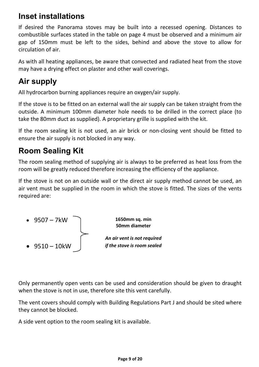### **Inset installations**

If desired the Panorama stoves may be built into a recessed opening. Distances to combustible surfaces stated in the table on page 4 must be observed and a minimum air gap of 150mm must be left to the sides, behind and above the stove to allow for circulation of air.

As with all heating appliances, be aware that convected and radiated heat from the stove may have a drying effect on plaster and other wall coverings.

### **Air supply**

All hydrocarbon burning appliances require an oxygen/air supply.

If the stove is to be fitted on an external wall the air supply can be taken straight from the outside. A minimum 100mm diameter hole needs to be drilled in the correct place (to take the 80mm duct as supplied). A proprietary grille is supplied with the kit.

If the room sealing kit is not used, an air brick or non-closing vent should be fitted to ensure the air supply is not blocked in any way.

### **Room Sealing Kit**

The room sealing method of supplying air is always to be preferred as heat loss from the room will be greatly reduced therefore increasing the efficiency of the appliance.

If the stove is not on an outside wall or the direct air supply method cannot be used, an air vent must be supplied in the room in which the stove is fitted. The sizes of the vents required are:



**1650mm sq. min 50mm diameter** 

*An air vent is not required if the stove is room sealed* 

Only permanently open vents can be used and consideration should be given to draught when the stove is not in use, therefore site this vent carefully.

The vent covers should comply with Building Regulations Part J and should be sited where they cannot be blocked.

A side vent option to the room sealing kit is available.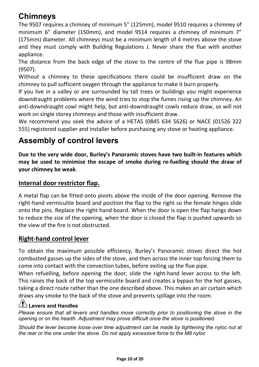### **Chimneys**

The 9507 requires a chimney of minimum 5" (125mm), model 9510 requires a chimney of minimum 6" diameter (150mm), and model 9514 requires a chimney of minimum 7" (175mm) diameter. All chimneys must be a minimum length of 4 metres above the stove and they must comply with Building Regulations J. Never share the flue with another appliance.

The distance from the back edge of the stove to the centre of the flue pipe is 98mm (9507).

Without a chimney to these specifications there could be insufficient draw on the chimney to pull sufficient oxygen through the appliance to make it burn properly.

If you live in a valley or are surrounded by tall trees or buildings you might experience downdraught problems where the wind tries to stop the fumes rising up the chimney. An anti-downdraught cowl might help, but anti-downdraught cowls reduce draw, so will not work on single storey chimneys and those with insufficient draw.

We recommend you seek the advice of a HETAS (0845 634 5626) or NACE (01526 322 555) registered supplier and installer before purchasing any stove or heating appliance.

### **Assembly of control levers**

**Due to the very wide door, Burley's Panoramic stoves have two built-in features which may be used to minimise the escape of smoke during re-fuelling should the draw of your chimney be weak**.

#### **Internal door restrictor flap.**

A metal flap can be fitted onto pivots above the inside of the door opening. Remove the right-hand vermiculite board and position the flap to the right so the female hinges slide onto the pins. Replace the right-hand board. When the door is open the flap hangs down to reduce the size of the opening, when the door is closed the flap is pushed upwards so the view of the fire is not obstructed.

#### **Right-hand control lever**

To obtain the maximum possible efficiency, Burley's Panoramic stoves direct the hot combusted gasses up the sides of the stove, and then across the inner top forcing them to come into contact with the convection tubes, before exiting up the flue pipe.

When refuelling, before opening the door, slide the right-hand lever across to the left. This raises the back of the top vermiculite board and creates a bypass for the hot gasses, taking a direct route rather than the one described above. This makes an air curtain which draws any smoke to the back of the stove and prevents spillage into the room.

### **Levers and Handles**

*Please ensure that all levers and handles move correctly prior to positioning the stove in the opening or on the hearth. Adjustment may prove difficult once the stove is positioned.* 

*Should the lever become loose over time adjustment can be made by tightening the nyloc nut at the rear or the one under the stove. Do not apply excessive force to the M8 nyloc*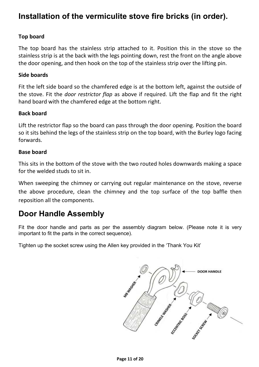### **Installation of the vermiculite stove fire bricks (in order).**

#### **Top board**

The top board has the stainless strip attached to it. Position this in the stove so the stainless strip is at the back with the legs pointing down, rest the front on the angle above the door opening, and then hook on the top of the stainless strip over the lifting pin.

#### **Side boards**

Fit the left side board so the chamfered edge is at the bottom left, against the outside of the stove. Fit the *door restrictor flap* as above if required. Lift the flap and fit the right hand board with the chamfered edge at the bottom right.

#### **Back board**

Lift the restrictor flap so the board can pass through the door opening. Position the board so it sits behind the legs of the stainless strip on the top board, with the Burley logo facing forwards.

#### **Base board**

This sits in the bottom of the stove with the two routed holes downwards making a space for the welded studs to sit in.

When sweeping the chimney or carrying out regular maintenance on the stove, reverse the above procedure, clean the chimney and the top surface of the top baffle then reposition all the components.

### **Door Handle Assembly**

Fit the door handle and parts as per the assembly diagram below. (Please note it is very important to fit the parts in the correct sequence).

Tighten up the socket screw using the Allen key provided in the 'Thank You Kit'

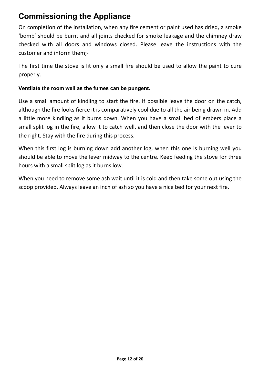### **Commissioning the Appliance**

On completion of the installation, when any fire cement or paint used has dried, a smoke 'bomb' should be burnt and all joints checked for smoke leakage and the chimney draw checked with all doors and windows closed. Please leave the instructions with the customer and inform them;-

The first time the stove is lit only a small fire should be used to allow the paint to cure properly.

#### **Ventilate the room well as the fumes can be pungent.**

Use a small amount of kindling to start the fire. If possible leave the door on the catch, although the fire looks fierce it is comparatively cool due to all the air being drawn in. Add a little more kindling as it burns down. When you have a small bed of embers place a small split log in the fire, allow it to catch well, and then close the door with the lever to the right. Stay with the fire during this process.

When this first log is burning down add another log, when this one is burning well you should be able to move the lever midway to the centre. Keep feeding the stove for three hours with a small split log as it burns low.

When you need to remove some ash wait until it is cold and then take some out using the scoop provided. Always leave an inch of ash so you have a nice bed for your next fire.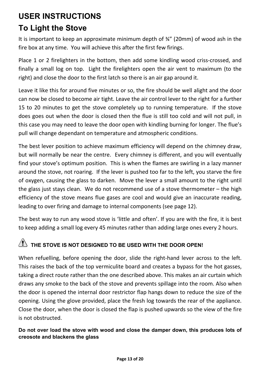### **USER INSTRUCTIONS**

### **To Light the Stove**

It is important to keep an approximate minimum depth of ¾" (20mm) of wood ash in the fire box at any time. You will achieve this after the first few firings.

Place 1 or 2 firelighters in the bottom, then add some kindling wood criss-crossed, and finally a small log on top. Light the firelighters open the air vent to maximum (to the right) and close the door to the first latch so there is an air gap around it.

Leave it like this for around five minutes or so, the fire should be well alight and the door can now be closed to become air tight. Leave the air control lever to the right for a further 15 to 20 minutes to get the stove completely up to running temperature. If the stove does goes out when the door is closed then the flue is still too cold and will not pull, in this case you may need to leave the door open with kindling burning for longer. The flue's pull will change dependant on temperature and atmospheric conditions.

The best lever position to achieve maximum efficiency will depend on the chimney draw, but will normally be near the centre. Every chimney is different, and you will eventually find your stove's optimum position. This is when the flames are swirling in a lazy manner around the stove, not roaring. If the lever is pushed too far to the left, you starve the fire of oxygen, causing the glass to darken. Move the lever a small amount to the right until the glass just stays clean. We do not recommend use of a stove thermometer – the high efficiency of the stove means flue gases are cool and would give an inaccurate reading, leading to over firing and damage to internal components (see page 12).

The best way to run any wood stove is 'little and often'. If you are with the fire, it is best to keep adding a small log every 45 minutes rather than adding large ones every 2 hours.

### $\sqrt{2}$  THE STOVE IS NOT DESIGNED TO BE USED WITH THE DOOR OPEN!

When refuelling, before opening the door, slide the right-hand lever across to the left. This raises the back of the top vermiculite board and creates a bypass for the hot gasses, taking a direct route rather than the one described above. This makes an air curtain which draws any smoke to the back of the stove and prevents spillage into the room. Also when the door is opened the internal door restrictor flap hangs down to reduce the size of the opening. Using the glove provided, place the fresh log towards the rear of the appliance. Close the door, when the door is closed the flap is pushed upwards so the view of the fire is not obstructed.

**Do not over load the stove with wood and close the damper down, this produces lots of creosote and blackens the glass**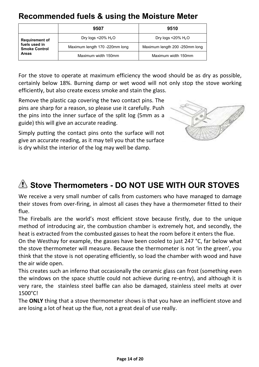### **Recommended fuels & using the Moisture Meter**

|                                       | 9507                           | 9510                                 |
|---------------------------------------|--------------------------------|--------------------------------------|
| <b>Requirement of</b>                 | Dry logs <20% $H_2O$           | Dry logs $\leq$ 20% H <sub>2</sub> O |
| fuels used in<br><b>Smoke Control</b> | Maximum length 170 -220mm long | Maximum length 200 -250mm long       |
| <b>Areas</b>                          | Maximum width 150mm            | Maximum width 150mm                  |

For the stove to operate at maximum efficiency the wood should be as dry as possible, certainly below 18%. Burning damp or wet wood will not only stop the stove working efficiently, but also create excess smoke and stain the glass.

Remove the plastic cap covering the two contact pins. The pins are sharp for a reason, so please use it carefully. Push the pins into the inner surface of the split log (5mm as a guide) this will give an accurate reading.

Simply putting the contact pins onto the surface will not give an accurate reading, as it may tell you that the surface is dry whilst the interior of the log may well be damp.



### **2** Stove Thermometers - DO NOT USE WITH OUR STOVES

We receive a very small number of calls from customers who have managed to damage their stoves from over-firing, in almost all cases they have a thermometer fitted to their flue.

The Fireballs are the world's most efficient stove because firstly, due to the unique method of introducing air, the combustion chamber is extremely hot, and secondly, the heat is extracted from the combusted gasses to heat the room before it enters the flue.

On the Westhay for example, the gasses have been cooled to just 247 °C, far below what the stove thermometer will measure. Because the thermometer is not 'in the green', you think that the stove is not operating efficiently, so load the chamber with wood and have the air wide open.

This creates such an inferno that occasionally the ceramic glass can frost (something even the windows on the space shuttle could not achieve during re-entry), and although it is very rare, the stainless steel baffle can also be damaged, stainless steel melts at over 1500°C!

The **ONLY** thing that a stove thermometer shows is that you have an inefficient stove and are losing a lot of heat up the flue, not a great deal of use really.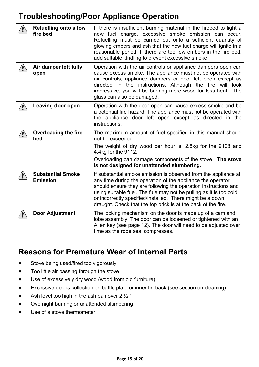### **Troubleshooting/Poor Appliance Operation**

| <b>Refuelling onto a low</b><br>fire bed    | If there is insufficient burning material in the firebed to light a<br>new fuel charge, excessive smoke emission can occur.<br>Refuelling must be carried out onto a sufficient quantity of<br>glowing embers and ash that the new fuel charge will ignite in a<br>reasonable period. If there are too few embers in the fire bed,<br>add suitable kindling to prevent excessive smoke                |
|---------------------------------------------|-------------------------------------------------------------------------------------------------------------------------------------------------------------------------------------------------------------------------------------------------------------------------------------------------------------------------------------------------------------------------------------------------------|
| Air damper left fully<br>open               | Operation with the air controls or appliance dampers open can<br>cause excess smoke. The appliance must not be operated with<br>air controls, appliance dampers or door left open except as<br>directed in the instructions. Although the fire will<br>look<br>impressive, you will be burning more wood for less heat. The<br>glass can also be damaged.                                             |
| Leaving door open                           | Operation with the door open can cause excess smoke and be<br>a potential fire hazard. The appliance must not be operated with<br>the appliance door left open except as directed in the<br>instructions.                                                                                                                                                                                             |
| <b>Overloading the fire</b><br>bed          | The maximum amount of fuel specified in this manual should<br>not be exceeded.<br>The weight of dry wood per hour is: 2.8kg for the 9108 and<br>4.4kg for the 9112.<br>Overloading can damage components of the stove. The stove<br>is not designed for unattended slumbering.                                                                                                                        |
| <b>Substantial Smoke</b><br><b>Emission</b> | If substantial smoke emission is observed from the appliance at<br>any time during the operation of the appliance the operator<br>should ensure they are following the operation instructions and<br>using suitable fuel. The flue may not be pulling as it is too cold<br>or incorrectly specified/installed. There might be a down<br>draught. Check that the top brick is at the back of the fire. |
| <b>Door Adjustment</b>                      | The locking mechanism on the door is made up of a cam and<br>lobe assembly. The door can be loosened or tightened with an<br>Allen key (see page 12). The door will need to be adjusted over<br>time as the rope seal compresses.                                                                                                                                                                     |

### **Reasons for Premature Wear of Internal Parts**

- **•** Stove being used/fired too vigorously
- Too little air passing through the stove
- Use of excessively dry wood (wood from old furniture)
- Excessive debris collection on baffle plate or inner fireback (see section on cleaning)
- Ash level too high in the ash pan over 2  $\frac{1}{2}$ "
- Overnight burning or unattended slumbering
- Use of a stove thermometer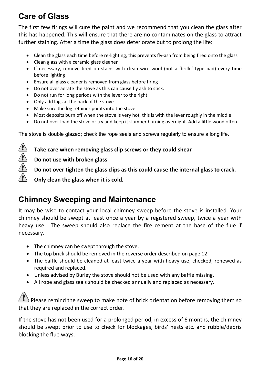### **Care of Glass**

The first few firings will cure the paint and we recommend that you clean the glass after this has happened. This will ensure that there are no contaminates on the glass to attract further staining. After a time the glass does deteriorate but to prolong the life:

- Clean the glass each time before re-lighting, this prevents fly-ash from being fired onto the glass
- Clean glass with a ceramic glass cleaner
- If necessary, remove fired on stains with clean wire wool (not a 'brillo' type pad) every time before lighting
- Ensure all glass cleaner is removed from glass before firing
- Do not over aerate the stove as this can cause fly ash to stick.
- Do not run for long periods with the lever to the right
- Only add logs at the back of the stove
- Make sure the log retainer points into the stove
- Most deposits burn off when the stove is very hot, this is with the lever roughly in the middle
- Do not over load the stove or try and keep it slumber burning overnight. Add a little wood often.

The stove is double glazed; check the rope seals and screws regularly to ensure a long life.

**Take care when removing glass clip screws or they could shear** 

 **Do not use with broken glass** 

 $\left\langle \mathbf{r} \right\rangle$ 

 **Do not over tighten the glass clips as this could cause the internal glass to crack.** 

 **Only clean the glass when it is cold.** 

### **Chimney Sweeping and Maintenance**

It may be wise to contact your local chimney sweep before the stove is installed. Your chimney should be swept at least once a year by a registered sweep, twice a year with heavy use. The sweep should also replace the fire cement at the base of the flue if necessary.

- The chimney can be swept through the stove.
- The top brick should be removed in the reverse order described on page 12.
- The baffle should be cleaned at least twice a year with heavy use, checked, renewed as required and replaced.
- Unless advised by Burley the stove should not be used with any baffle missing.
- All rope and glass seals should be checked annually and replaced as necessary.

 $\Delta$  Please remind the sweep to make note of brick orientation before removing them so that they are replaced in the correct order.

If the stove has not been used for a prolonged period, in excess of 6 months, the chimney should be swept prior to use to check for blockages, birds' nests etc. and rubble/debris blocking the flue ways.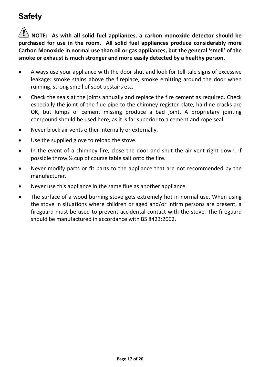### **Safety**

**NOTE: As with all solid fuel appliances, a carbon monoxide detector should be purchased for use in the room. All solid fuel appliances produce considerably more Carbon Monoxide in normal use than oil or gas appliances, but the general 'smell' of the smoke or exhaust is much stronger and more easily detected by a healthy person.** 

- Always use your appliance with the door shut and look for tell-tale signs of excessive leakage: smoke stains above the fireplace, smoke emitting around the door when running, strong smell of soot upstairs etc.
- Check the seals at the joints annually and replace the fire cement as required. Check especially the joint of the flue pipe to the chimney register plate, hairline cracks are OK, but lumps of cement missing produce a bad joint. A proprietary jointing compound should be used here, as it is far superior to a cement and rope seal.
- Never block air vents either internally or externally.
- Use the supplied glove to reload the stove.
- In the event of a chimney fire, close the door and shut the air vent right down. If possible throw ½ cup of course table salt onto the fire.
- Never modify parts or fit parts to the appliance that are not recommended by the manufacturer.
- Never use this appliance in the same flue as another appliance.
- The surface of a wood burning stove gets extremely hot in normal use. When using the stove in situations where children or aged and/or infirm persons are present, a fireguard must be used to prevent accidental contact with the stove. The fireguard should be manufactured in accordance with BS 8423:2002.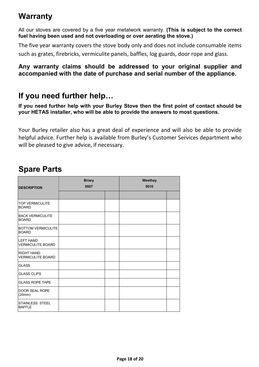### **Warranty**

All our stoves are covered by a five year metalwork warranty. **(This is subject to the correct fuel having been used and not overloading or over aerating the stove.)**

The five year warranty covers the stove body only and does not include consumable items such as grates, firebricks, vermiculite panels, baffles, log guards, door rope and glass.

#### **Any warranty claims should be addressed to your original supplier and accompanied with the date of purchase and serial number of the appliance.**

### **If you need further help…**

**If you need further help with your Burley Stove then the first point of contact should be your HETAS installer, who will be able to provide the answers to most questions.** 

Your Burley retailer also has a great deal of experience and will also be able to provide helpful advice. Further help is available from Burley's Customer Services department who will be pleased to give advice, if necessary.

### **Spare Parts**

| <b>DESCRIPTION</b>                            | <b>Briary</b><br>9507 | Westhay<br>9510 |  |
|-----------------------------------------------|-----------------------|-----------------|--|
|                                               |                       |                 |  |
| <b>TOP VERMICULITE</b><br><b>BOARD</b>        |                       |                 |  |
| <b>BACK VERMICULITE</b><br><b>BOARD</b>       |                       |                 |  |
| <b>BOTTOM VERMICULITE</b><br><b>BOARD</b>     |                       |                 |  |
| <b>LEFT HAND</b><br><b>VERMICULITE BOARD</b>  |                       |                 |  |
| <b>RIGHT HAND</b><br><b>VERMICULITE BOARD</b> |                       |                 |  |
| <b>GLASS</b>                                  |                       |                 |  |
| <b>GLASS CLIPS</b>                            |                       |                 |  |
| <b>GLASS ROPE TAPE</b>                        |                       |                 |  |
| <b>DOOR SEAL ROPE</b><br>(20mm)               |                       |                 |  |
| <b>STAINLESS STEEL</b><br><b>BAFFLE</b>       |                       |                 |  |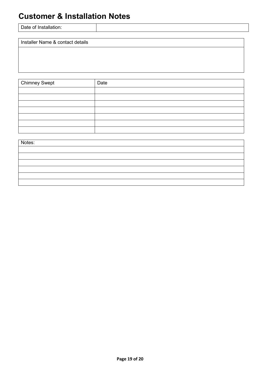### **Customer & Installation Notes**

| Date of Installation: |  |
|-----------------------|--|
|                       |  |

Installer Name & contact details

Chimney Swept | Date

| Notes: |  |
|--------|--|
|        |  |
|        |  |
|        |  |
|        |  |
|        |  |
|        |  |